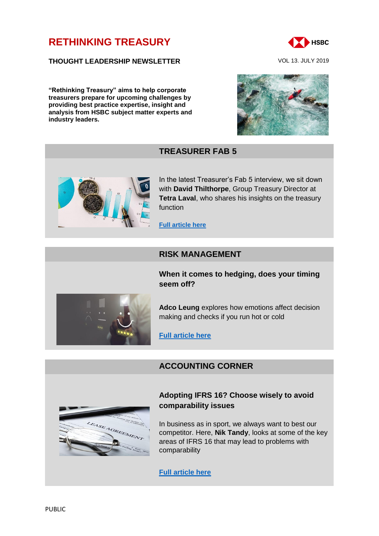# **[RETHINKING TREASURY](http://www.gbm.hsbc.com/the-new-future#rethinking-treasury)**

#### **THOUGHT LEADERSHIP NEWSLETTER** VOL 13. JULY 2019

**"Rethinking Treasury" aims to help corporate treasurers prepare for upcoming challenges by providing best practice expertise, insight and analysis from HSBC subject matter experts and industry leaders.**



## **TREASURER FAB 5**



In the latest Treasurer's Fab 5 interview, we sit down with **David Thilthorpe**, Group Treasury Director at **Tetra Laval**, who shares his insights on the treasury function

#### **[Full article here](https://www.gbm.hsbc.com/insights/markets/in-conversation-with-david-thilthorpe-group-treasury-director-at-tetra-laval)**

### **RISK MANAGEMENT**

**When it comes to hedging, does your timing seem off?**



**Adco Leung** explores how emotions affect decision making and checks if you run hot or cold

**[Full article here](https://www.gbm.hsbc.com/insights/markets/why-do-emotions-always-seem-to-make-us-hedge-at-the-worst-times)**

## **ACCOUNTING CORNER**



### **Adopting IFRS 16? Choose wisely to avoid comparability issues**

In business as in sport, we always want to best our competitor. Here, **Nik Tandy**, looks at some of the key areas of IFRS 16 that may lead to problems with comparability

**[Full article here](https://www.gbm.hsbc.com/insights/markets/adopting-ifrs-16-choose-wisely-to-avoid-comparability-issues)**